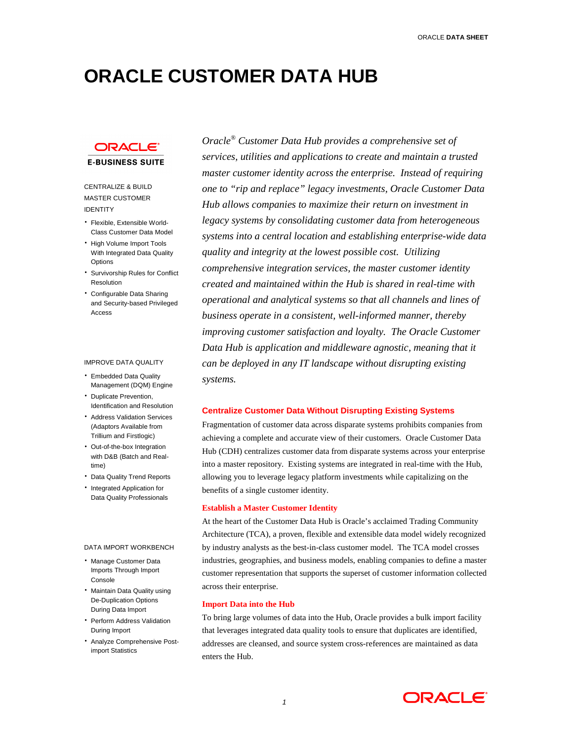# **ORACLE CUSTOMER DATA HUB**

# ORACLE

**E-BUSINESS SUITE** 

# CENTRALIZE & BUILD MASTER CUSTOMER IDENTITY

- Flexible, Extensible World-Class Customer Data Model
- High Volume Import Tools With Integrated Data Quality Options
- Survivorship Rules for Conflict Resolution
- Configurable Data Sharing and Security-based Privileged Access

#### IMPROVE DATA QUALITY

- Embedded Data Quality Management (DQM) Engine
- Duplicate Prevention, Identification and Resolution
- Address Validation Services (Adaptors Available from Trillium and Firstlogic)
- Out-of-the-box Integration with D&B (Batch and Realtime)
- Data Quality Trend Reports
- Integrated Application for Data Quality Professionals

#### DATA IMPORT WORKBENCH

- Manage Customer Data Imports Through Import Console
- Maintain Data Quality using De-Duplication Options During Data Import
- Perform Address Validation During Import
- Analyze Comprehensive Postimport Statistics

*Oracle® Customer Data Hub provides a comprehensive set of services, utilities and applications to create and maintain a trusted master customer identity across the enterprise. Instead of requiring one to "rip and replace" legacy investments, Oracle Customer Data Hub allows companies to maximize their return on investment in legacy systems by consolidating customer data from heterogeneous systems into a central location and establishing enterprise-wide data quality and integrity at the lowest possible cost. Utilizing comprehensive integration services, the master customer identity created and maintained within the Hub is shared in real-time with operational and analytical systems so that all channels and lines of business operate in a consistent, well-informed manner, thereby improving customer satisfaction and loyalty. The Oracle Customer Data Hub is application and middleware agnostic, meaning that it can be deployed in any IT landscape without disrupting existing systems.* 

## **Centralize Customer Data Without Disrupting Existing Systems**

Fragmentation of customer data across disparate systems prohibits companies from achieving a complete and accurate view of their customers. Oracle Customer Data Hub (CDH) centralizes customer data from disparate systems across your enterprise into a master repository. Existing systems are integrated in real-time with the Hub, allowing you to leverage legacy platform investments while capitalizing on the benefits of a single customer identity.

## **Establish a Master Customer Identity**

At the heart of the Customer Data Hub is Oracle's acclaimed Trading Community Architecture (TCA), a proven, flexible and extensible data model widely recognized by industry analysts as the best-in-class customer model. The TCA model crosses industries, geographies, and business models, enabling companies to define a master customer representation that supports the superset of customer information collected across their enterprise.

#### **Import Data into the Hub**

To bring large volumes of data into the Hub, Oracle provides a bulk import facility that leverages integrated data quality tools to ensure that duplicates are identified, addresses are cleansed, and source system cross-references are maintained as data enters the Hub.

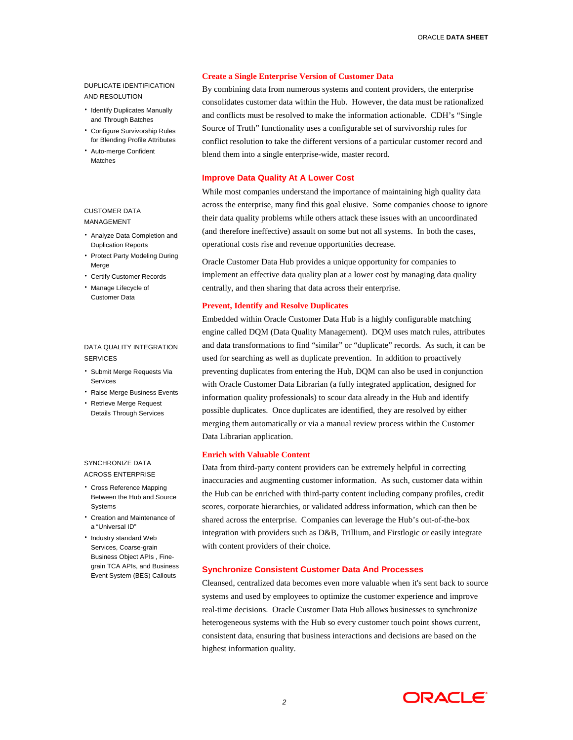# DUPLICATE IDENTIFICATION AND RESOLUTION

- Identify Duplicates Manually and Through Batches
- Configure Survivorship Rules for Blending Profile Attributes
- Auto-merge Confident Matches

# CUSTOMER DATA MANAGEMENT

- Analyze Data Completion and Duplication Reports
- Protect Party Modeling During Merge
- Certify Customer Records
- Manage Lifecycle of Customer Data

## DATA QUALITY INTEGRATION **SERVICES**

- Submit Merge Requests Via Services
- Raise Merge Business Events
- Retrieve Merge Request Details Through Services

# SYNCHRONIZE DATA ACROSS ENTERPRISE

- Cross Reference Mapping Between the Hub and Source **Systems**
- Creation and Maintenance of a "Universal ID"
- Industry standard Web Services, Coarse-grain Business Object APIs , Finegrain TCA APIs, and Business Event System (BES) Callouts

## **Create a Single Enterprise Version of Customer Data**

By combining data from numerous systems and content providers, the enterprise consolidates customer data within the Hub. However, the data must be rationalized and conflicts must be resolved to make the information actionable. CDH's "Single Source of Truth" functionality uses a configurable set of survivorship rules for conflict resolution to take the different versions of a particular customer record and blend them into a single enterprise-wide, master record.

# **Improve Data Quality At A Lower Cost**

While most companies understand the importance of maintaining high quality data across the enterprise, many find this goal elusive. Some companies choose to ignore their data quality problems while others attack these issues with an uncoordinated (and therefore ineffective) assault on some but not all systems. In both the cases, operational costs rise and revenue opportunities decrease.

Oracle Customer Data Hub provides a unique opportunity for companies to implement an effective data quality plan at a lower cost by managing data quality centrally, and then sharing that data across their enterprise.

#### **Prevent, Identify and Resolve Duplicates**

Embedded within Oracle Customer Data Hub is a highly configurable matching engine called DQM (Data Quality Management). DQM uses match rules, attributes and data transformations to find "similar" or "duplicate" records. As such, it can be used for searching as well as duplicate prevention. In addition to proactively preventing duplicates from entering the Hub, DQM can also be used in conjunction with Oracle Customer Data Librarian (a fully integrated application, designed for information quality professionals) to scour data already in the Hub and identify possible duplicates. Once duplicates are identified, they are resolved by either merging them automatically or via a manual review process within the Customer Data Librarian application.

## **Enrich with Valuable Content**

Data from third-party content providers can be extremely helpful in correcting inaccuracies and augmenting customer information. As such, customer data within the Hub can be enriched with third-party content including company profiles, credit scores, corporate hierarchies, or validated address information, which can then be shared across the enterprise. Companies can leverage the Hub's out-of-the-box integration with providers such as D&B, Trillium, and Firstlogic or easily integrate with content providers of their choice.

# **Synchronize Consistent Customer Data And Processes**

Cleansed, centralized data becomes even more valuable when it's sent back to source systems and used by employees to optimize the customer experience and improve real-time decisions. Oracle Customer Data Hub allows businesses to synchronize heterogeneous systems with the Hub so every customer touch point shows current, consistent data, ensuring that business interactions and decisions are based on the highest information quality.

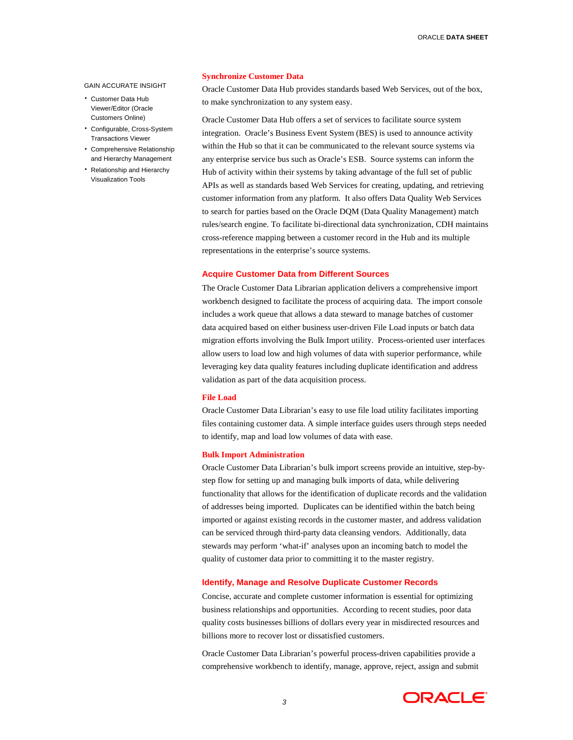#### GAIN ACCURATE INSIGHT

- Customer Data Hub Viewer/Editor (Oracle Customers Online)
- Configurable, Cross-System Transactions Viewer
- Comprehensive Relationship and Hierarchy Management
- Relationship and Hierarchy Visualization Tools

## **Synchronize Customer Data**

Oracle Customer Data Hub provides standards based Web Services, out of the box, to make synchronization to any system easy.

Oracle Customer Data Hub offers a set of services to facilitate source system integration. Oracle's Business Event System (BES) is used to announce activity within the Hub so that it can be communicated to the relevant source systems via any enterprise service bus such as Oracle's ESB. Source systems can inform the Hub of activity within their systems by taking advantage of the full set of public APIs as well as standards based Web Services for creating, updating, and retrieving customer information from any platform. It also offers Data Quality Web Services to search for parties based on the Oracle DQM (Data Quality Management) match rules/search engine. To facilitate bi-directional data synchronization, CDH maintains cross-reference mapping between a customer record in the Hub and its multiple representations in the enterprise's source systems.

## **Acquire Customer Data from Different Sources**

The Oracle Customer Data Librarian application delivers a comprehensive import workbench designed to facilitate the process of acquiring data. The import console includes a work queue that allows a data steward to manage batches of customer data acquired based on either business user-driven File Load inputs or batch data migration efforts involving the Bulk Import utility. Process-oriented user interfaces allow users to load low and high volumes of data with superior performance, while leveraging key data quality features including duplicate identification and address validation as part of the data acquisition process.

#### **File Load**

Oracle Customer Data Librarian's easy to use file load utility facilitates importing files containing customer data. A simple interface guides users through steps needed to identify, map and load low volumes of data with ease.

#### **Bulk Import Administration**

Oracle Customer Data Librarian's bulk import screens provide an intuitive, step-bystep flow for setting up and managing bulk imports of data, while delivering functionality that allows for the identification of duplicate records and the validation of addresses being imported. Duplicates can be identified within the batch being imported or against existing records in the customer master, and address validation can be serviced through third-party data cleansing vendors. Additionally, data stewards may perform 'what-if' analyses upon an incoming batch to model the quality of customer data prior to committing it to the master registry.

## **Identify, Manage and Resolve Duplicate Customer Records**

Concise, accurate and complete customer information is essential for optimizing business relationships and opportunities. According to recent studies, poor data quality costs businesses billions of dollars every year in misdirected resources and billions more to recover lost or dissatisfied customers.

Oracle Customer Data Librarian's powerful process-driven capabilities provide a comprehensive workbench to identify, manage, approve, reject, assign and submit

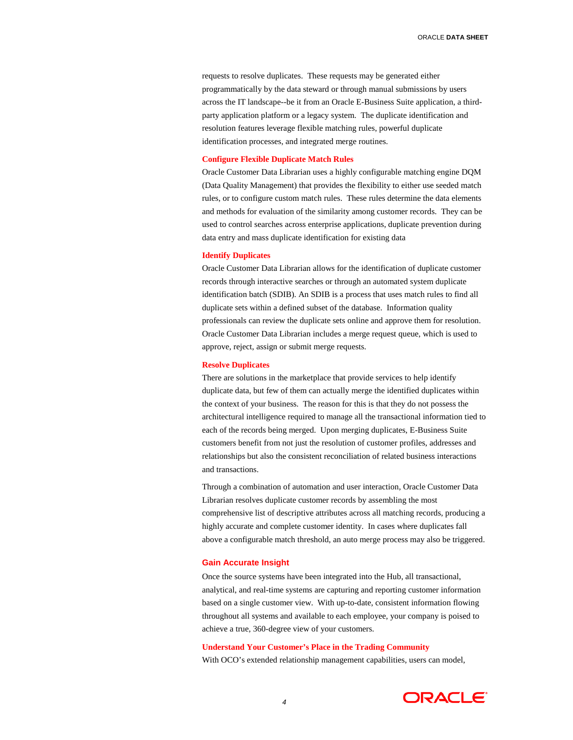requests to resolve duplicates. These requests may be generated either programmatically by the data steward or through manual submissions by users across the IT landscape--be it from an Oracle E-Business Suite application, a thirdparty application platform or a legacy system. The duplicate identification and resolution features leverage flexible matching rules, powerful duplicate identification processes, and integrated merge routines.

# **Configure Flexible Duplicate Match Rules**

Oracle Customer Data Librarian uses a highly configurable matching engine DQM (Data Quality Management) that provides the flexibility to either use seeded match rules, or to configure custom match rules. These rules determine the data elements and methods for evaluation of the similarity among customer records. They can be used to control searches across enterprise applications, duplicate prevention during data entry and mass duplicate identification for existing data

#### **Identify Duplicates**

Oracle Customer Data Librarian allows for the identification of duplicate customer records through interactive searches or through an automated system duplicate identification batch (SDIB). An SDIB is a process that uses match rules to find all duplicate sets within a defined subset of the database. Information quality professionals can review the duplicate sets online and approve them for resolution. Oracle Customer Data Librarian includes a merge request queue, which is used to approve, reject, assign or submit merge requests.

## **Resolve Duplicates**

There are solutions in the marketplace that provide services to help identify duplicate data, but few of them can actually merge the identified duplicates within the context of your business. The reason for this is that they do not possess the architectural intelligence required to manage all the transactional information tied to each of the records being merged. Upon merging duplicates, E-Business Suite customers benefit from not just the resolution of customer profiles, addresses and relationships but also the consistent reconciliation of related business interactions and transactions.

Through a combination of automation and user interaction, Oracle Customer Data Librarian resolves duplicate customer records by assembling the most comprehensive list of descriptive attributes across all matching records, producing a highly accurate and complete customer identity. In cases where duplicates fall above a configurable match threshold, an auto merge process may also be triggered.

#### **Gain Accurate Insight**

Once the source systems have been integrated into the Hub, all transactional, analytical, and real-time systems are capturing and reporting customer information based on a single customer view. With up-to-date, consistent information flowing throughout all systems and available to each employee, your company is poised to achieve a true, 360-degree view of your customers.

## **Understand Your Customer's Place in the Trading Community**

With OCO's extended relationship management capabilities, users can model,

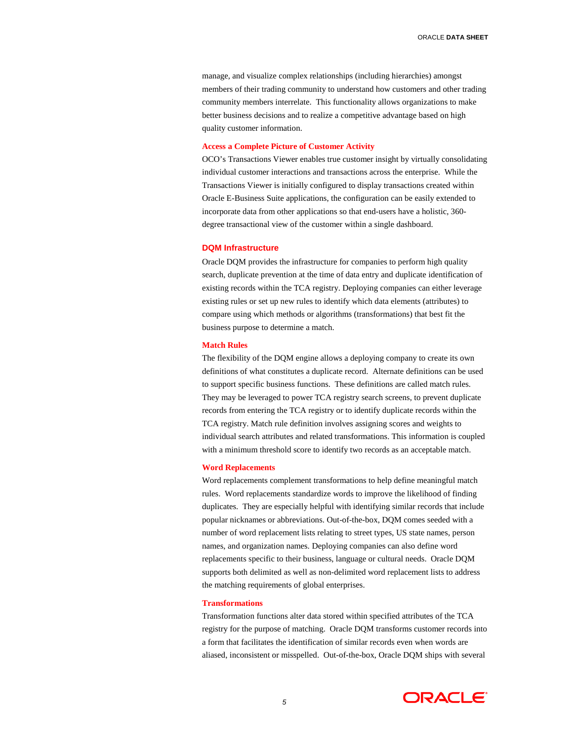manage, and visualize complex relationships (including hierarchies) amongst members of their trading community to understand how customers and other trading community members interrelate. This functionality allows organizations to make better business decisions and to realize a competitive advantage based on high quality customer information.

#### **Access a Complete Picture of Customer Activity**

OCO's Transactions Viewer enables true customer insight by virtually consolidating individual customer interactions and transactions across the enterprise. While the Transactions Viewer is initially configured to display transactions created within Oracle E-Business Suite applications, the configuration can be easily extended to incorporate data from other applications so that end-users have a holistic, 360 degree transactional view of the customer within a single dashboard.

# **DQM Infrastructure**

Oracle DQM provides the infrastructure for companies to perform high quality search, duplicate prevention at the time of data entry and duplicate identification of existing records within the TCA registry. Deploying companies can either leverage existing rules or set up new rules to identify which data elements (attributes) to compare using which methods or algorithms (transformations) that best fit the business purpose to determine a match.

#### **Match Rules**

The flexibility of the DQM engine allows a deploying company to create its own definitions of what constitutes a duplicate record. Alternate definitions can be used to support specific business functions. These definitions are called match rules. They may be leveraged to power TCA registry search screens, to prevent duplicate records from entering the TCA registry or to identify duplicate records within the TCA registry. Match rule definition involves assigning scores and weights to individual search attributes and related transformations. This information is coupled with a minimum threshold score to identify two records as an acceptable match.

#### **Word Replacements**

Word replacements complement transformations to help define meaningful match rules. Word replacements standardize words to improve the likelihood of finding duplicates. They are especially helpful with identifying similar records that include popular nicknames or abbreviations. Out-of-the-box, DQM comes seeded with a number of word replacement lists relating to street types, US state names, person names, and organization names. Deploying companies can also define word replacements specific to their business, language or cultural needs. Oracle DQM supports both delimited as well as non-delimited word replacement lists to address the matching requirements of global enterprises.

#### **Transformations**

Transformation functions alter data stored within specified attributes of the TCA registry for the purpose of matching. Oracle DQM transforms customer records into a form that facilitates the identification of similar records even when words are aliased, inconsistent or misspelled. Out-of-the-box, Oracle DQM ships with several

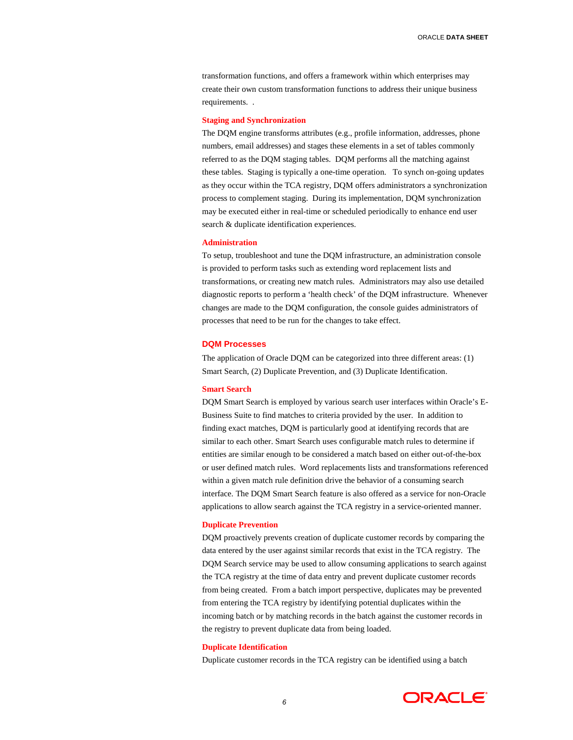transformation functions, and offers a framework within which enterprises may create their own custom transformation functions to address their unique business requirements. .

#### **Staging and Synchronization**

The DQM engine transforms attributes (e.g., profile information, addresses, phone numbers, email addresses) and stages these elements in a set of tables commonly referred to as the DQM staging tables. DQM performs all the matching against these tables. Staging is typically a one-time operation. To synch on-going updates as they occur within the TCA registry, DQM offers administrators a synchronization process to complement staging. During its implementation, DQM synchronization may be executed either in real-time or scheduled periodically to enhance end user search & duplicate identification experiences.

## **Administration**

To setup, troubleshoot and tune the DQM infrastructure, an administration console is provided to perform tasks such as extending word replacement lists and transformations, or creating new match rules. Administrators may also use detailed diagnostic reports to perform a 'health check' of the DQM infrastructure. Whenever changes are made to the DQM configuration, the console guides administrators of processes that need to be run for the changes to take effect.

# **DQM Processes**

The application of Oracle DQM can be categorized into three different areas: (1) Smart Search, (2) Duplicate Prevention, and (3) Duplicate Identification.

### **Smart Search**

DQM Smart Search is employed by various search user interfaces within Oracle's E-Business Suite to find matches to criteria provided by the user. In addition to finding exact matches, DQM is particularly good at identifying records that are similar to each other. Smart Search uses configurable match rules to determine if entities are similar enough to be considered a match based on either out-of-the-box or user defined match rules. Word replacements lists and transformations referenced within a given match rule definition drive the behavior of a consuming search interface. The DQM Smart Search feature is also offered as a service for non-Oracle applications to allow search against the TCA registry in a service-oriented manner.

#### **Duplicate Prevention**

DQM proactively prevents creation of duplicate customer records by comparing the data entered by the user against similar records that exist in the TCA registry. The DQM Search service may be used to allow consuming applications to search against the TCA registry at the time of data entry and prevent duplicate customer records from being created. From a batch import perspective, duplicates may be prevented from entering the TCA registry by identifying potential duplicates within the incoming batch or by matching records in the batch against the customer records in the registry to prevent duplicate data from being loaded.

## **Duplicate Identification**

Duplicate customer records in the TCA registry can be identified using a batch

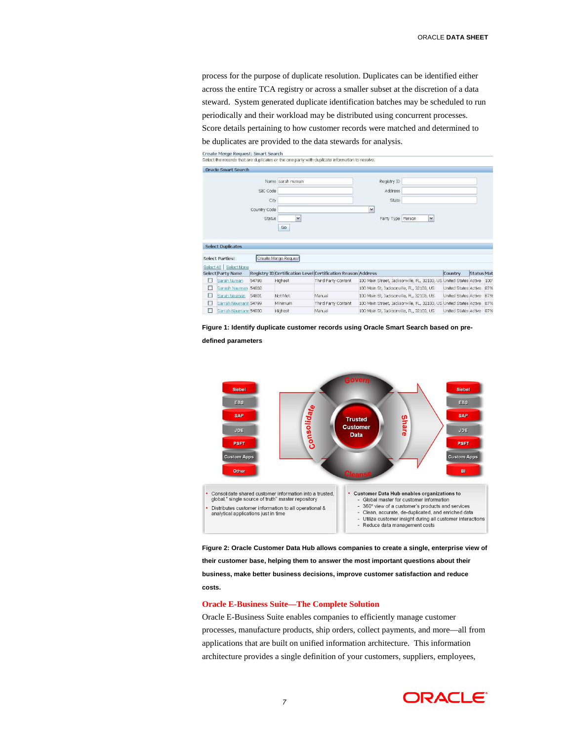process for the purpose of duplicate resolution. Duplicates can be identified either across the entire TCA registry or across a smaller subset at the discretion of a data steward. System generated duplicate identification batches may be scheduled to run periodically and their workload may be distributed using concurrent processes.

Score details pertaining to how customer records were matched and determined to

be duplicates are provided to the data stewards for analysis.





**defined parameters** 



**Figure 2: Oracle Customer Data Hub allows companies to create a single, enterprise view of their customer base, helping them to answer the most important questions about their business, make better business decisions, improve customer satisfaction and reduce costs.** 

#### **Oracle E-Business Suite—The Complete Solution**

Oracle E-Business Suite enables companies to efficiently manage customer processes, manufacture products, ship orders, collect payments, and more—all from applications that are built on unified information architecture. This information architecture provides a single definition of your customers, suppliers, employees,